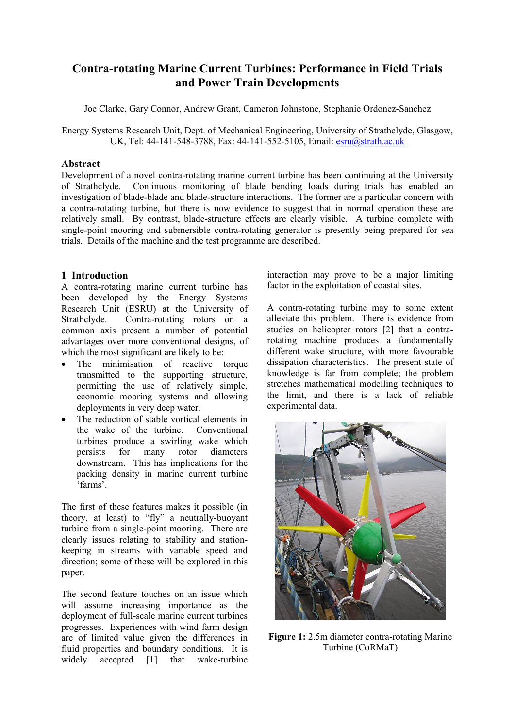# **Contra-rotating Marine Current Turbines: Performance in Field Trials and Power Train Developments**

Joe Clarke, Gary Connor, Andrew Grant, Cameron Johnstone, Stephanie Ordonez-Sanchez

Energy Systems Research Unit, Dept. of Mechanical Engineering, University of Strathclyde, Glasgow, UK, Tel: 44-141-548-3788, Fax: 44-141-552-5105, Email: [esru@strath.ac.uk](mailto:esru@strath.ac.uk)

#### **Abstract**

Development of a novel contra-rotating marine current turbine has been continuing at the University of Strathclyde. Continuous monitoring of blade bending loads during trials has enabled an investigation of blade-blade and blade-structure interactions. The former are a particular concern with a contra-rotating turbine, but there is now evidence to suggest that in normal operation these are relatively small. By contrast, blade-structure effects are clearly visible. A turbine complete with single-point mooring and submersible contra-rotating generator is presently being prepared for sea trials. Details of the machine and the test programme are described.

## **1 Introduction**

A contra-rotating marine current turbine has been developed by the Energy Systems Research Unit (ESRU) at the University of Strathclyde. Contra-rotating rotors on a common axis present a number of potential advantages over more conventional designs, of which the most significant are likely to be:

- The minimisation of reactive torque transmitted to the supporting structure, permitting the use of relatively simple, economic mooring systems and allowing deployments in very deep water.
- The reduction of stable vortical elements in the wake of the turbine. Conventional turbines produce a swirling wake which persists for many rotor diameters downstream. This has implications for the packing density in marine current turbine 'farms'.

The first of these features makes it possible (in theory, at least) to "fly" a neutrally-buoyant turbine from a single-point mooring. There are clearly issues relating to stability and stationkeeping in streams with variable speed and direction; some of these will be explored in this paper.

The second feature touches on an issue which will assume increasing importance as the deployment of full-scale marine current turbines progresses. Experiences with wind farm design are of limited value given the differences in fluid properties and boundary conditions. It is widely accepted [1] that wake-turbine

interaction may prove to be a major limiting factor in the exploitation of coastal sites.

A contra-rotating turbine may to some extent alleviate this problem. There is evidence from studies on helicopter rotors [2] that a contrarotating machine produces a fundamentally different wake structure, with more favourable dissipation characteristics. The present state of knowledge is far from complete; the problem stretches mathematical modelling techniques to the limit, and there is a lack of reliable experimental data.



**Figure 1:** 2.5m diameter contra-rotating Marine Turbine (CoRMaT)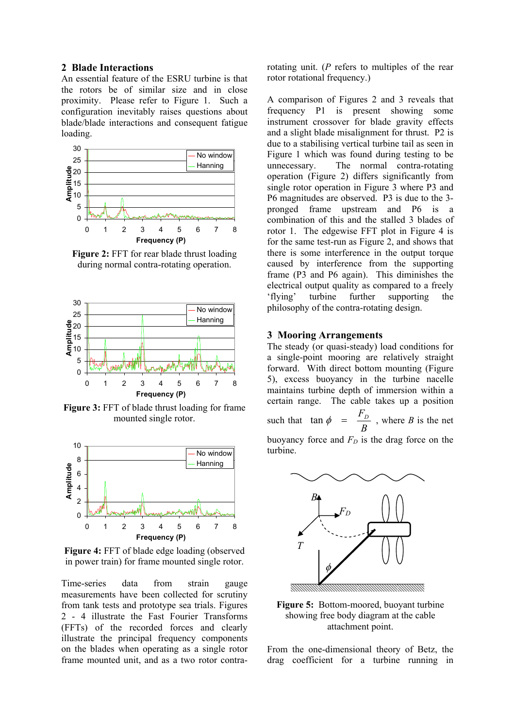#### **2 Blade Interactions**

An essential feature of the ESRU turbine is that the rotors be of similar size and in close proximity. Please refer to Figure 1. Such a configuration inevitably raises questions about blade/blade interactions and consequent fatigue loading.



**Figure 2:** FFT for rear blade thrust loading during normal contra-rotating operation.



**Figure 3:** FFT of blade thrust loading for frame mounted single rotor.



**Figure 4:** FFT of blade edge loading (observed in power train) for frame mounted single rotor.

Time-series data from strain gauge measurements have been collected for scrutiny from tank tests and prototype sea trials. Figures 2 - 4 illustrate the Fast Fourier Transforms (FFTs) of the recorded forces and clearly illustrate the principal frequency components on the blades when operating as a single rotor frame mounted unit, and as a two rotor contrarotating unit. (*P* refers to multiples of the rear rotor rotational frequency.)

A comparison of Figures 2 and 3 reveals that frequency P1 is present showing some instrument crossover for blade gravity effects and a slight blade misalignment for thrust. P2 is due to a stabilising vertical turbine tail as seen in Figure 1 which was found during testing to be unnecessary. The normal contra-rotating operation (Figure 2) differs significantly from single rotor operation in Figure 3 where P3 and P6 magnitudes are observed. P3 is due to the 3 pronged frame upstream and P6 is a combination of this and the stalled 3 blades of rotor 1. The edgewise FFT plot in Figure 4 is for the same test-run as Figure 2, and shows that there is some interference in the output torque caused by interference from the supporting frame (P3 and P6 again). This diminishes the electrical output quality as compared to a freely ëflyingí turbine further supporting the philosophy of the contra-rotating design.

#### **3 Mooring Arrangements**

The steady (or quasi-steady) load conditions for a single-point mooring are relatively straight forward. With direct bottom mounting (Figure 5), excess buoyancy in the turbine nacelle maintains turbine depth of immersion within a certain range. The cable takes up a position such that  $\tan \phi = \frac{-b}{B}$  $\tan \phi = \frac{F_D}{D}$ , where *B* is the net buoyancy force and  $F<sub>D</sub>$  is the drag force on the turbine.



**Figure 5:** Bottom-moored, buoyant turbine showing free body diagram at the cable attachment point.

From the one-dimensional theory of Betz, the drag coefficient for a turbine running in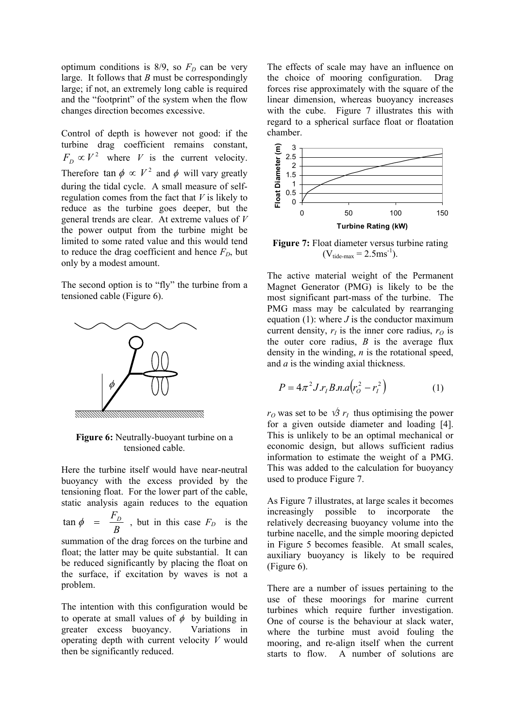optimum conditions is  $8/9$ , so  $F<sub>D</sub>$  can be very large. It follows that *B* must be correspondingly large; if not, an extremely long cable is required and the "footprint" of the system when the flow changes direction becomes excessive.

Control of depth is however not good: if the turbine drag coefficient remains constant,  $F_D \propto V^2$  where *V* is the current velocity. Therefore  $\tan \phi \propto V^2$  and  $\phi$  will vary greatly during the tidal cycle. A small measure of selfregulation comes from the fact that *V* is likely to reduce as the turbine goes deeper, but the general trends are clear. At extreme values of *V* the power output from the turbine might be limited to some rated value and this would tend to reduce the drag coefficient and hence  $F<sub>D</sub>$ , but only by a modest amount.

The second option is to "fly" the turbine from a tensioned cable (Figure 6).



**Figure 6:** Neutrally-buoyant turbine on a tensioned cable.

Here the turbine itself would have near-neutral buoyancy with the excess provided by the tensioning float. For the lower part of the cable, static analysis again reduces to the equation

*B*  $\tan \phi = \frac{F_D}{D}$ , but in this case  $F_D$  is the

summation of the drag forces on the turbine and float; the latter may be quite substantial. It can be reduced significantly by placing the float on the surface, if excitation by waves is not a problem.

The intention with this configuration would be to operate at small values of  $\phi$  by building in greater excess buoyancy. Variations in operating depth with current velocity *V* would then be significantly reduced.

The effects of scale may have an influence on the choice of mooring configuration. Drag forces rise approximately with the square of the linear dimension, whereas buoyancy increases with the cube. Figure 7 illustrates this with regard to a spherical surface float or floatation chamber.



**Figure 7:** Float diameter versus turbine rating  $(V_{\text{tide-max}} = 2.5 \text{ms}^{-1}).$ 

The active material weight of the Permanent Magnet Generator (PMG) is likely to be the most significant part-mass of the turbine. The PMG mass may be calculated by rearranging equation (1): where  $J$  is the conductor maximum current density,  $r_I$  is the inner core radius,  $r_O$  is the outer core radius,  $B$  is the average flux density in the winding, *n* is the rotational speed, and *a* is the winding axial thickness.

$$
\phi \qquad \qquad \text{()} \qquad \qquad P = 4\pi^2 J.r_I B.n.a \big( r_O^2 - r_I^2 \big) \qquad \qquad \text{(1)}
$$

*r*<sup>*O*</sup> was set to be  $\sqrt{3}$  *r*<sub>*I*</sub> thus optimising the power for a given outside diameter and loading [4]. This is unlikely to be an optimal mechanical or economic design, but allows sufficient radius information to estimate the weight of a PMG. This was added to the calculation for buoyancy used to produce Figure 7.

As Figure 7 illustrates, at large scales it becomes increasingly possible to incorporate the relatively decreasing buoyancy volume into the turbine nacelle, and the simple mooring depicted in Figure 5 becomes feasible. At small scales, auxiliary buoyancy is likely to be required (Figure 6).

There are a number of issues pertaining to the use of these moorings for marine current turbines which require further investigation. One of course is the behaviour at slack water, where the turbine must avoid fouling the mooring, and re-align itself when the current starts to flow. A number of solutions are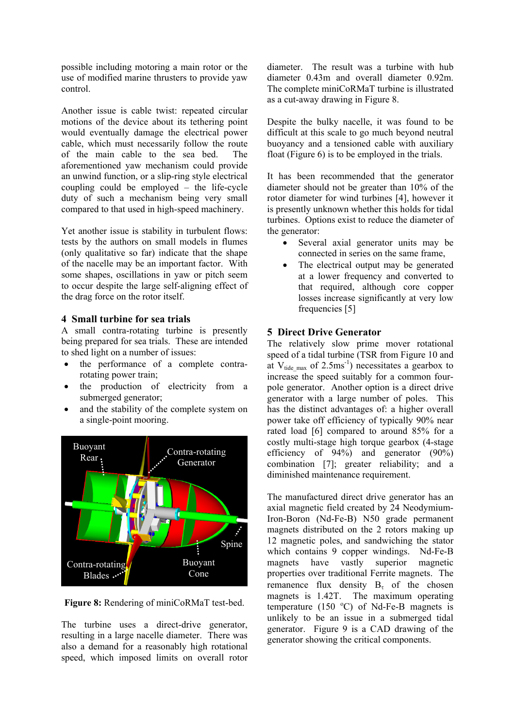possible including motoring a main rotor or the use of modified marine thrusters to provide yaw control.

Another issue is cable twist: repeated circular motions of the device about its tethering point would eventually damage the electrical power cable, which must necessarily follow the route of the main cable to the sea bed. The aforementioned yaw mechanism could provide an unwind function, or a slip-ring style electrical coupling could be employed  $-$  the life-cycle duty of such a mechanism being very small compared to that used in high-speed machinery.

Yet another issue is stability in turbulent flows: tests by the authors on small models in flumes (only qualitative so far) indicate that the shape of the nacelle may be an important factor. With some shapes, oscillations in yaw or pitch seem to occur despite the large self-aligning effect of the drag force on the rotor itself.

## **4 Small turbine for sea trials**

A small contra-rotating turbine is presently being prepared for sea trials. These are intended to shed light on a number of issues:

- the performance of a complete contrarotating power train;
- the production of electricity from a submerged generator;
- and the stability of the complete system on a single-point mooring.



**Figure 8:** Rendering of miniCoRMaT test-bed.

The turbine uses a direct-drive generator, resulting in a large nacelle diameter. There was also a demand for a reasonably high rotational speed, which imposed limits on overall rotor diameter. The result was a turbine with hub diameter 0.43m and overall diameter 0.92m. The complete miniCoRMaT turbine is illustrated as a cut-away drawing in Figure 8.

Despite the bulky nacelle, it was found to be difficult at this scale to go much beyond neutral buoyancy and a tensioned cable with auxiliary float (Figure 6) is to be employed in the trials.

It has been recommended that the generator diameter should not be greater than 10% of the rotor diameter for wind turbines [4], however it is presently unknown whether this holds for tidal turbines. Options exist to reduce the diameter of the generator:

- Several axial generator units may be connected in series on the same frame,
- The electrical output may be generated at a lower frequency and converted to that required, although core copper losses increase significantly at very low frequencies [5]

## **5 Direct Drive Generator**

The relatively slow prime mover rotational speed of a tidal turbine (TSR from Figure 10 and at  $V_{\text{tide max}}$  of 2.5ms<sup>-1</sup>) necessitates a gearbox to increase the speed suitably for a common fourpole generator. Another option is a direct drive generator with a large number of poles. This has the distinct advantages of: a higher overall power take off efficiency of typically 90% near rated load [6] compared to around 85% for a costly multi-stage high torque gearbox (4-stage efficiency of  $94\%$  and generator  $(90\%)$ combination [7]; greater reliability; and a diminished maintenance requirement.

The manufactured direct drive generator has an axial magnetic field created by 24 Neodymium-Iron-Boron (Nd-Fe-B) N50 grade permanent magnets distributed on the 2 rotors making up 12 magnetic poles, and sandwiching the stator which contains 9 copper windings. Nd-Fe-B magnets have vastly superior magnetic properties over traditional Ferrite magnets. The remanence flux density  $B<sub>r</sub>$  of the chosen magnets is 1.42T. The maximum operating temperature (150 $\degree$ C) of Nd-Fe-B magnets is unlikely to be an issue in a submerged tidal generator. Figure 9 is a CAD drawing of the generator showing the critical components.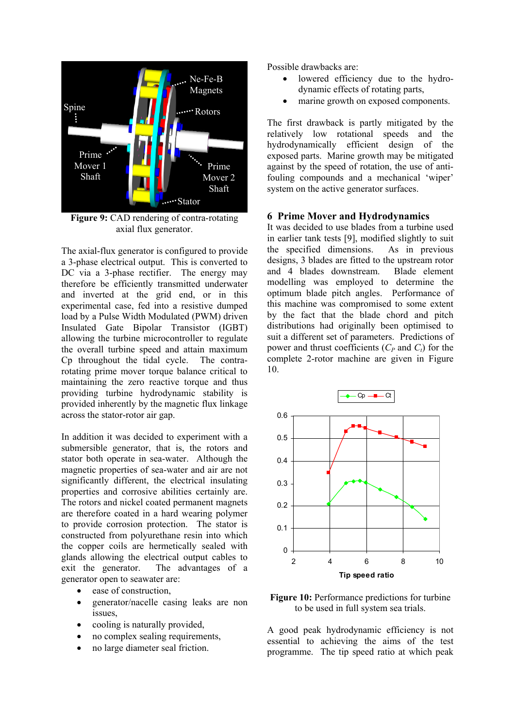

**Figure 9:** CAD rendering of contra-rotating axial flux generator.

The axial-flux generator is configured to provide a 3-phase electrical output. This is converted to DC via a 3-phase rectifier. The energy may therefore be efficiently transmitted underwater and inverted at the grid end, or in this experimental case, fed into a resistive dumped load by a Pulse Width Modulated (PWM) driven Insulated Gate Bipolar Transistor (IGBT) allowing the turbine microcontroller to regulate the overall turbine speed and attain maximum Cp throughout the tidal cycle. The contrarotating prime mover torque balance critical to maintaining the zero reactive torque and thus providing turbine hydrodynamic stability is provided inherently by the magnetic flux linkage across the stator-rotor air gap.

In addition it was decided to experiment with a submersible generator, that is, the rotors and stator both operate in sea-water. Although the magnetic properties of sea-water and air are not significantly different, the electrical insulating properties and corrosive abilities certainly are. The rotors and nickel coated permanent magnets are therefore coated in a hard wearing polymer to provide corrosion protection. The stator is constructed from polyurethane resin into which the copper coils are hermetically sealed with glands allowing the electrical output cables to exit the generator. The advantages of a generator open to seawater are:

- ease of construction,
- generator/nacelle casing leaks are non issues,
- cooling is naturally provided,
- no complex sealing requirements,
- no large diameter seal friction.

Possible drawbacks are:

- lowered efficiency due to the hydrodynamic effects of rotating parts,
- marine growth on exposed components.

The first drawback is partly mitigated by the relatively low rotational speeds and the hydrodynamically efficient design of the exposed parts. Marine growth may be mitigated against by the speed of rotation, the use of antifouling compounds and a mechanical 'wiper' system on the active generator surfaces.

#### **6 Prime Mover and Hydrodynamics**

It was decided to use blades from a turbine used in earlier tank tests [9], modified slightly to suit the specified dimensions. As in previous designs, 3 blades are fitted to the upstream rotor and 4 blades downstream. Blade element modelling was employed to determine the optimum blade pitch angles. Performance of this machine was compromised to some extent by the fact that the blade chord and pitch distributions had originally been optimised to suit a different set of parameters. Predictions of power and thrust coefficients  $(C_P \text{ and } C_I)$  for the complete 2-rotor machine are given in Figure 10.



**Figure 10:** Performance predictions for turbine to be used in full system sea trials.

A good peak hydrodynamic efficiency is not essential to achieving the aims of the test programme. The tip speed ratio at which peak